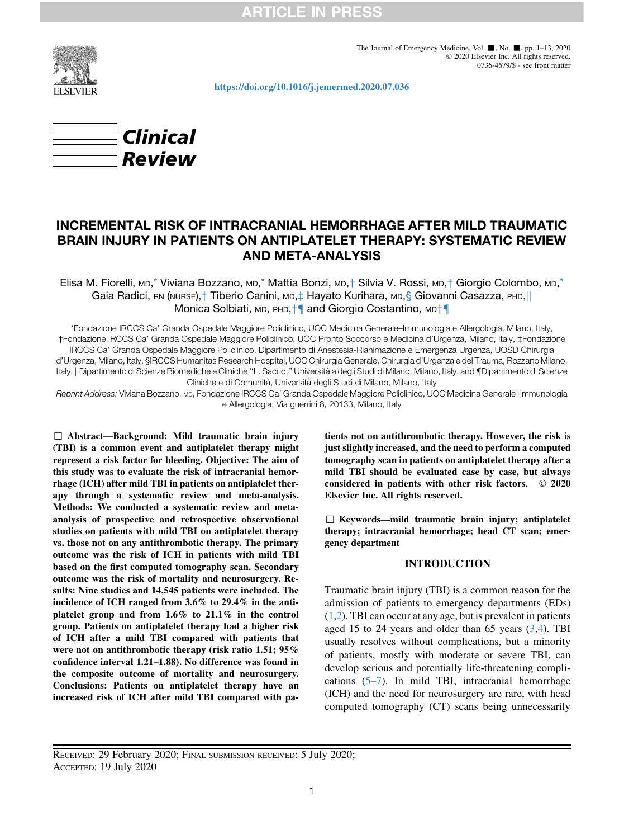**ARTICLE IN PRESS** 



The Journal of Emergency Medicine, Vol.  $\blacksquare$ , No.  $\blacksquare$ , pp. 1–13, 2020 2020 Elsevier Inc. All rights reserved. 0736-4679/\$ - see front matter

<https://doi.org/10.1016/j.jemermed.2020.07.036>



# INCREMENTAL RISK OF INTRACRANIAL HEMORRHAGE AFTER MILD TRAUMATIC BRAIN INJURY IN PATIENTS ON ANTIPLATELET THERAPY: SYSTEMATIC REVIEW AND META-ANALYSIS

Elisa M. Fiorelli, MD,[\\*](#page-0-0) Viviana Bozzano, MD[,\\*](#page-0-0) Mattia Bonzi, MD,† Silvia V. Rossi, MD,† Giorgio Colombo, MD[,\\*](#page-0-0) Gaia Radici, RN (NURSE), † Tiberio Canini, MD, ‡ Hayato Kurihara, MD, § Giovanni Casazza, PHD, || Monica Solbiati, MD, PHD,<sup>†</sup> and Giorgio Costantino, MD<sup>†</sup>

<span id="page-0-0"></span>\*Fondazione IRCCS Ca' Granda Ospedale Maggiore Policlinico, UOC Medicina Generale–Immunologia e Allergologia, Milano, Italy, †Fondazione IRCCS Ca' Granda Ospedale Maggiore Policlinico, UOC Pronto Soccorso e Medicina d'Urgenza, Milano, Italy, ‡Fondazione IRCCS Ca' Granda Ospedale Maggiore Policlinico, Dipartimento di Anestesia-Rianimazione e Emergenza Urgenza, UOSD Chirurgia d'Urgenza, Milano, Italy, §IRCCS Humanitas Research Hospital, UOC Chirurgia Generale, Chirurgia d'Urgenza e del Trauma, Rozzano Milano, Italy, ||Dipartimento di Scienze Biomediche e Cliniche "L. Sacco," Università a degli Studi di Milano, Milano, Italy, and [Dipartimento di Scienze Cliniche e di Comunità, Università degli Studi di Milano, Milano, Italy

Reprint Address: Viviana Bozzano, MD, Fondazione IRCCS Ca' Granda Ospedale Maggiore Policlinico, UOC Medicina Generale–Immunologia e Allergologia, Via guerrini 8, 20133, Milano, Italy

 $\Box$  Abstract—Background: Mild traumatic brain injury (TBI) is a common event and antiplatelet therapy might represent a risk factor for bleeding. Objective: The aim of this study was to evaluate the risk of intracranial hemorrhage (ICH) after mild TBI in patients on antiplatelet therapy through a systematic review and meta-analysis. Methods: We conducted a systematic review and metaanalysis of prospective and retrospective observational studies on patients with mild TBI on antiplatelet therapy vs. those not on any antithrombotic therapy. The primary outcome was the risk of ICH in patients with mild TBI based on the first computed tomography scan. Secondary outcome was the risk of mortality and neurosurgery. Results: Nine studies and 14,545 patients were included. The incidence of ICH ranged from 3.6% to 29.4% in the antiplatelet group and from 1.6% to 21.1% in the control group. Patients on antiplatelet therapy had a higher risk of ICH after a mild TBI compared with patients that were not on antithrombotic therapy (risk ratio 1.51; 95% confidence interval 1.21–1.88). No difference was found in the composite outcome of mortality and neurosurgery. Conclusions: Patients on antiplatelet therapy have an increased risk of ICH after mild TBI compared with patients not on antithrombotic therapy. However, the risk is just slightly increased, and the need to perform a computed tomography scan in patients on antiplatelet therapy after a mild TBI should be evaluated case by case, but always considered in patients with other risk factors.  $\circ$  2020 Elsevier Inc. All rights reserved.

 $\Box$  Keywords—mild traumatic brain injury; antiplatelet therapy; intracranial hemorrhage; head CT scan; emergency department

#### INTRODUCTION

Traumatic brain injury (TBI) is a common reason for the admission of patients to emergency departments (EDs) [\(1](#page-10-0),[2\)](#page-10-1). TBI can occur at any age, but is prevalent in patients aged 15 to 24 years and older than 65 years [\(3](#page-10-2),[4\)](#page-10-3). TBI usually resolves without complications, but a minority of patients, mostly with moderate or severe TBI, can develop serious and potentially life-threatening complications ([5–7\)](#page-10-4). In mild TBI, intracranial hemorrhage (ICH) and the need for neurosurgery are rare, with head computed tomography (CT) scans being unnecessarily

RECEIVED: 29 February 2020; FINAL SUBMISSION RECEIVED: 5 July 2020; ACCEPTED: 19 July 2020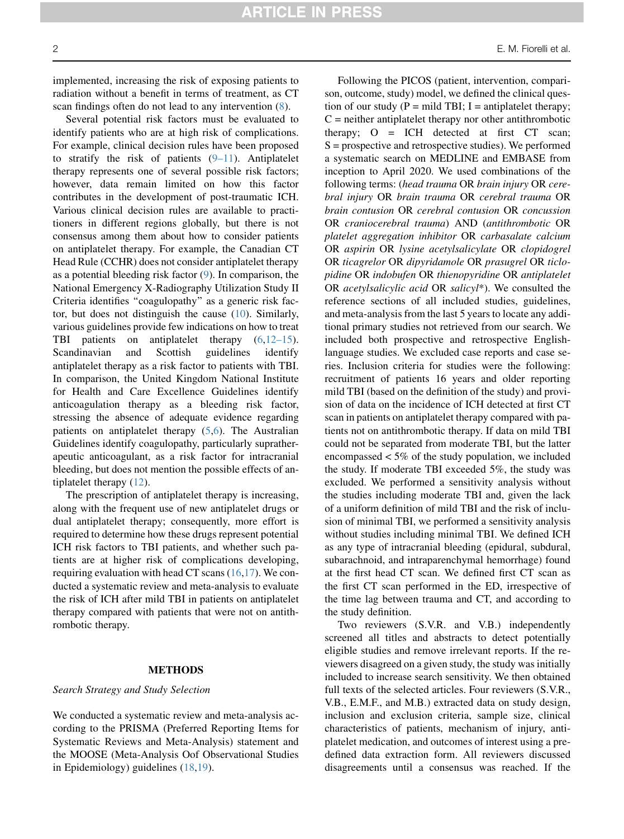implemented, increasing the risk of exposing patients to radiation without a benefit in terms of treatment, as CT scan findings often do not lead to any intervention ([8\)](#page-10-5).

Several potential risk factors must be evaluated to identify patients who are at high risk of complications. For example, clinical decision rules have been proposed to stratify the risk of patients  $(9-11)$ . Antiplatelet therapy represents one of several possible risk factors; however, data remain limited on how this factor contributes in the development of post-traumatic ICH. Various clinical decision rules are available to practitioners in different regions globally, but there is not consensus among them about how to consider patients on antiplatelet therapy. For example, the Canadian CT Head Rule (CCHR) does not consider antiplatelet therapy as a potential bleeding risk factor ([9\)](#page-10-6). In comparison, the National Emergency X-Radiography Utilization Study II Criteria identifies ''coagulopathy'' as a generic risk factor, but does not distinguish the cause ([10\)](#page-10-7). Similarly, various guidelines provide few indications on how to treat TBI patients on antiplatelet therapy  $(6.12-15)$  $(6.12-15)$  $(6.12-15)$ . Scandinavian and Scottish guidelines identify antiplatelet therapy as a risk factor to patients with TBI. In comparison, the United Kingdom National Institute for Health and Care Excellence Guidelines identify anticoagulation therapy as a bleeding risk factor, stressing the absence of adequate evidence regarding patients on antiplatelet therapy ([5,](#page-10-4)[6](#page-10-8)). The Australian Guidelines identify coagulopathy, particularly supratherapeutic anticoagulant, as a risk factor for intracranial bleeding, but does not mention the possible effects of antiplatelet therapy [\(12](#page-10-9)).

The prescription of antiplatelet therapy is increasing, along with the frequent use of new antiplatelet drugs or dual antiplatelet therapy; consequently, more effort is required to determine how these drugs represent potential ICH risk factors to TBI patients, and whether such patients are at higher risk of complications developing, requiring evaluation with head CT scans  $(16,17)$  $(16,17)$  $(16,17)$  $(16,17)$ . We conducted a systematic review and meta-analysis to evaluate the risk of ICH after mild TBI in patients on antiplatelet therapy compared with patients that were not on antithrombotic therapy.

#### METHODS

#### Search Strategy and Study Selection

We conducted a systematic review and meta-analysis according to the PRISMA (Preferred Reporting Items for Systematic Reviews and Meta-Analysis) statement and the MOOSE (Meta-Analysis Oof Observational Studies in Epidemiology) guidelines ([18,](#page-10-12)[19](#page-11-0)).

Following the PICOS (patient, intervention, comparison, outcome, study) model, we defined the clinical question of our study ( $P =$  mild TBI; I = antiplatelet therapy;  $C$  = neither antiplatelet therapy nor other antithrombotic therapy; O = ICH detected at first CT scan; S = prospective and retrospective studies). We performed a systematic search on MEDLINE and EMBASE from inception to April 2020. We used combinations of the following terms: (head trauma OR brain injury OR cerebral injury OR brain trauma OR cerebral trauma OR brain contusion OR cerebral contusion OR concussion OR craniocerebral trauma) AND (antithrombotic OR platelet aggregation inhibitor OR carbasalate calcium OR aspirin OR lysine acetylsalicylate OR clopidogrel OR ticagrelor OR dipyridamole OR prasugrel OR ticlopidine OR indobufen OR thienopyridine OR antiplatelet OR acetylsalicylic acid OR salicyl\*). We consulted the reference sections of all included studies, guidelines, and meta-analysis from the last 5 years to locate any additional primary studies not retrieved from our search. We included both prospective and retrospective Englishlanguage studies. We excluded case reports and case series. Inclusion criteria for studies were the following: recruitment of patients 16 years and older reporting mild TBI (based on the definition of the study) and provision of data on the incidence of ICH detected at first CT scan in patients on antiplatelet therapy compared with patients not on antithrombotic therapy. If data on mild TBI could not be separated from moderate TBI, but the latter encompassed < 5% of the study population, we included the study. If moderate TBI exceeded 5%, the study was excluded. We performed a sensitivity analysis without the studies including moderate TBI and, given the lack of a uniform definition of mild TBI and the risk of inclusion of minimal TBI, we performed a sensitivity analysis without studies including minimal TBI. We defined ICH as any type of intracranial bleeding (epidural, subdural, subarachnoid, and intraparenchymal hemorrhage) found at the first head CT scan. We defined first CT scan as the first CT scan performed in the ED, irrespective of the time lag between trauma and CT, and according to the study definition.

Two reviewers (S.V.R. and V.B.) independently screened all titles and abstracts to detect potentially eligible studies and remove irrelevant reports. If the reviewers disagreed on a given study, the study was initially included to increase search sensitivity. We then obtained full texts of the selected articles. Four reviewers (S.V.R., V.B., E.M.F., and M.B.) extracted data on study design, inclusion and exclusion criteria, sample size, clinical characteristics of patients, mechanism of injury, antiplatelet medication, and outcomes of interest using a predefined data extraction form. All reviewers discussed disagreements until a consensus was reached. If the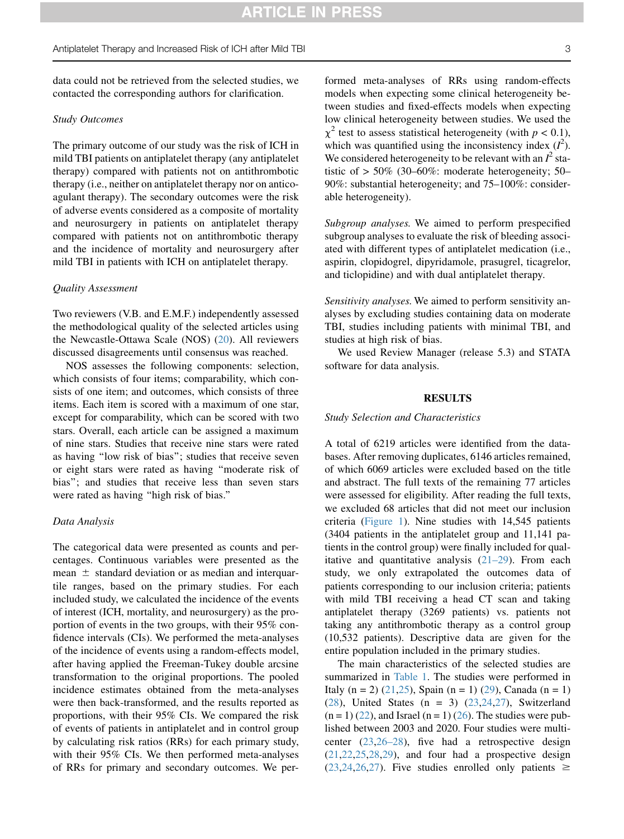## Antiplatelet Therapy and Increased Risk of ICH after Mild TBI 3

data could not be retrieved from the selected studies, we contacted the corresponding authors for clarification.

#### Study Outcomes

The primary outcome of our study was the risk of ICH in mild TBI patients on antiplatelet therapy (any antiplatelet therapy) compared with patients not on antithrombotic therapy (i.e., neither on antiplatelet therapy nor on anticoagulant therapy). The secondary outcomes were the risk of adverse events considered as a composite of mortality and neurosurgery in patients on antiplatelet therapy compared with patients not on antithrombotic therapy and the incidence of mortality and neurosurgery after mild TBI in patients with ICH on antiplatelet therapy.

#### Quality Assessment

Two reviewers (V.B. and E.M.F.) independently assessed the methodological quality of the selected articles using the Newcastle-Ottawa Scale (NOS) [\(20](#page-11-1)). All reviewers discussed disagreements until consensus was reached.

NOS assesses the following components: selection, which consists of four items; comparability, which consists of one item; and outcomes, which consists of three items. Each item is scored with a maximum of one star, except for comparability, which can be scored with two stars. Overall, each article can be assigned a maximum of nine stars. Studies that receive nine stars were rated as having ''low risk of bias''; studies that receive seven or eight stars were rated as having ''moderate risk of bias''; and studies that receive less than seven stars were rated as having "high risk of bias."

### Data Analysis

The categorical data were presented as counts and percentages. Continuous variables were presented as the mean  $\pm$  standard deviation or as median and interquartile ranges, based on the primary studies. For each included study, we calculated the incidence of the events of interest (ICH, mortality, and neurosurgery) as the proportion of events in the two groups, with their 95% confidence intervals (CIs). We performed the meta-analyses of the incidence of events using a random-effects model, after having applied the Freeman-Tukey double arcsine transformation to the original proportions. The pooled incidence estimates obtained from the meta-analyses were then back-transformed, and the results reported as proportions, with their 95% CIs. We compared the risk of events of patients in antiplatelet and in control group by calculating risk ratios (RRs) for each primary study, with their 95% CIs. We then performed meta-analyses of RRs for primary and secondary outcomes. We performed meta-analyses of RRs using random-effects models when expecting some clinical heterogeneity between studies and fixed-effects models when expecting low clinical heterogeneity between studies. We used the  $\chi^2$  test to assess statistical heterogeneity (with  $p < 0.1$ ), which was quantified using the inconsistency index  $(I^2)$ . We considered heterogeneity to be relevant with an  $I^2$  statistic of > 50% (30–60%: moderate heterogeneity; 50– 90%: substantial heterogeneity; and 75–100%: considerable heterogeneity).

Subgroup analyses. We aimed to perform prespecified subgroup analyses to evaluate the risk of bleeding associated with different types of antiplatelet medication (i.e., aspirin, clopidogrel, dipyridamole, prasugrel, ticagrelor, and ticlopidine) and with dual antiplatelet therapy.

Sensitivity analyses. We aimed to perform sensitivity analyses by excluding studies containing data on moderate TBI, studies including patients with minimal TBI, and studies at high risk of bias.

We used Review Manager (release 5.3) and STATA software for data analysis.

#### RESULTS

Study Selection and Characteristics

A total of 6219 articles were identified from the databases. After removing duplicates, 6146 articles remained, of which 6069 articles were excluded based on the title and abstract. The full texts of the remaining 77 articles were assessed for eligibility. After reading the full texts, we excluded 68 articles that did not meet our inclusion criteria ([Figure 1\)](#page-3-0). Nine studies with 14,545 patients (3404 patients in the antiplatelet group and 11,141 patients in the control group) were finally included for qualitative and quantitative analysis ([21–29\)](#page-11-2). From each study, we only extrapolated the outcomes data of patients corresponding to our inclusion criteria; patients with mild TBI receiving a head CT scan and taking antiplatelet therapy (3269 patients) vs. patients not taking any antithrombotic therapy as a control group (10,532 patients). Descriptive data are given for the entire population included in the primary studies.

The main characteristics of the selected studies are summarized in [Table 1.](#page-4-0) The studies were performed in Italy  $(n = 2)$   $(21,25)$  $(21,25)$  $(21,25)$  $(21,25)$ , Spain  $(n = 1)$   $(29)$  $(29)$ , Canada  $(n = 1)$ [\(28](#page-11-5)), United States  $(n = 3)$  [\(23](#page-11-6),[24](#page-11-7)[,27](#page-11-8)), Switzerland  $(n = 1)$  ([22\)](#page-11-9), and Israel  $(n = 1)$  ([26\)](#page-11-10). The studies were published between 2003 and 2020. Four studies were multicenter [\(23](#page-11-6),[26–28\)](#page-11-10), five had a retrospective design  $(21,22,25,28,29)$  $(21,22,25,28,29)$  $(21,22,25,28,29)$  $(21,22,25,28,29)$  $(21,22,25,28,29)$  $(21,22,25,28,29)$  $(21,22,25,28,29)$  $(21,22,25,28,29)$ , and four had a prospective design  $(23,24,26,27)$  $(23,24,26,27)$  $(23,24,26,27)$  $(23,24,26,27)$  $(23,24,26,27)$  $(23,24,26,27)$ . Five studies enrolled only patients  $\geq$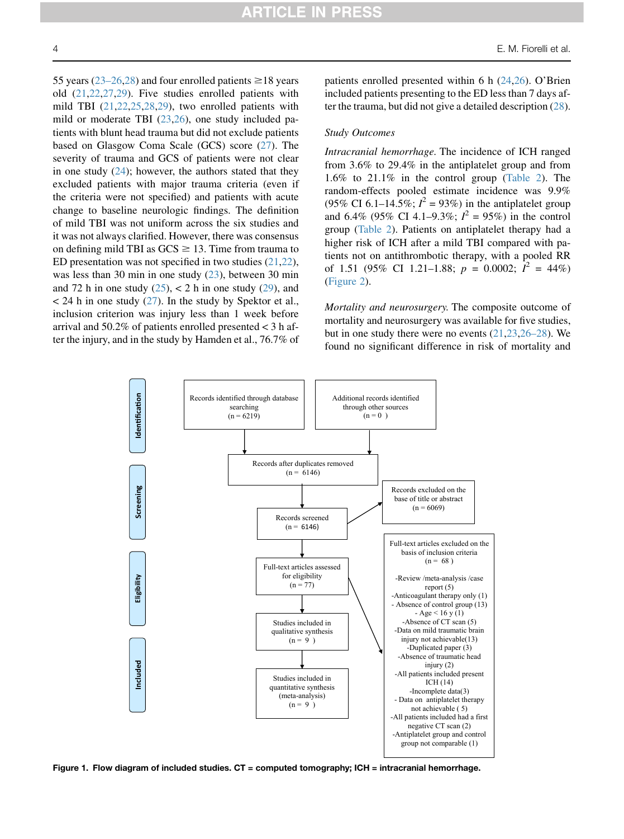55 years ([23–26,](#page-11-6)[28](#page-11-5)) and four enrolled patients  $\geq$ 18 years old [\(21](#page-11-2),[22,](#page-11-9)[27](#page-11-8),[29\)](#page-11-4). Five studies enrolled patients with mild TBI ([21,](#page-11-2)[22](#page-11-9),[25,](#page-11-3)[28](#page-11-5),[29\)](#page-11-4), two enrolled patients with mild or moderate TBI [\(23](#page-11-6),[26\)](#page-11-10), one study included patients with blunt head trauma but did not exclude patients based on Glasgow Coma Scale (GCS) score ([27\)](#page-11-8). The severity of trauma and GCS of patients were not clear in one study  $(24)$  $(24)$ ; however, the authors stated that they excluded patients with major trauma criteria (even if the criteria were not specified) and patients with acute change to baseline neurologic findings. The definition of mild TBI was not uniform across the six studies and it was not always clarified. However, there was consensus on defining mild TBI as  $GCS \ge 13$ . Time from trauma to ED presentation was not specified in two studies ([21,](#page-11-2)[22](#page-11-9)), was less than 30 min in one study ([23\)](#page-11-6), between 30 min and 72 h in one study  $(25)$  $(25)$ ,  $\lt 2$  h in one study  $(29)$  $(29)$ , and  $<$  24 h in one study [\(27](#page-11-8)). In the study by Spektor et al., inclusion criterion was injury less than 1 week before arrival and  $50.2\%$  of patients enrolled presented  $<$  3 h after the injury, and in the study by Hamden et al., 76.7% of patients enrolled presented within 6 h ([24](#page-11-7),[26\)](#page-11-10). O'Brien included patients presenting to the ED less than 7 days after the trauma, but did not give a detailed description [\(28](#page-11-5)).

#### Study Outcomes

Intracranial hemorrhage. The incidence of ICH ranged from 3.6% to 29.4% in the antiplatelet group and from 1.6% to 21.1% in the control group ([Table 2](#page-7-0)). The random-effects pooled estimate incidence was 9.9% (95% CI 6.1–14.5%;  $I^2 = 93\%$ ) in the antiplatelet group and 6.4% (95% CI 4.1–9.3%;  $I^2 = 95\%$ ) in the control group ([Table 2\)](#page-7-0). Patients on antiplatelet therapy had a higher risk of ICH after a mild TBI compared with patients not on antithrombotic therapy, with a pooled RR of 1.51 (95% CI 1.21–1.88;  $p = 0.0002$ ;  $\bar{I}^2 = 44\%$ ) [\(Figure 2](#page-8-0)).

Mortality and neurosurgery. The composite outcome of mortality and neurosurgery was available for five studies, but in one study there were no events  $(21, 23, 26-28)$  $(21, 23, 26-28)$  $(21, 23, 26-28)$  $(21, 23, 26-28)$  $(21, 23, 26-28)$ . We found no significant difference in risk of mortality and

<span id="page-3-0"></span>

Figure 1. Flow diagram of included studies. CT = computed tomography; ICH = intracranial hemorrhage.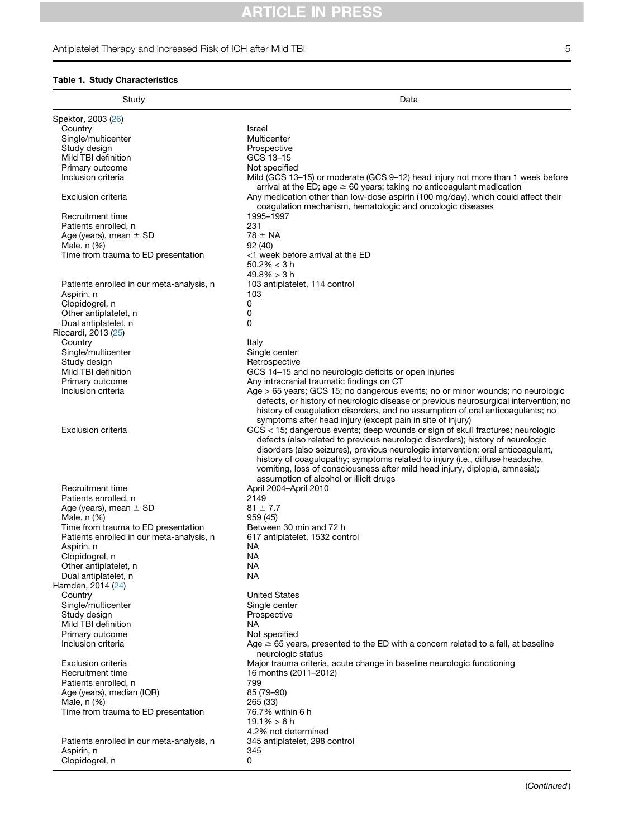## <span id="page-4-0"></span>Table 1. Study Characteristics

| Study                                     | Data                                                                                                                                                                                                                                                                                                                                                                                                                                                          |  |  |  |
|-------------------------------------------|---------------------------------------------------------------------------------------------------------------------------------------------------------------------------------------------------------------------------------------------------------------------------------------------------------------------------------------------------------------------------------------------------------------------------------------------------------------|--|--|--|
| Spektor, 2003 (26)                        |                                                                                                                                                                                                                                                                                                                                                                                                                                                               |  |  |  |
| Country                                   | Israel                                                                                                                                                                                                                                                                                                                                                                                                                                                        |  |  |  |
| Single/multicenter                        | Multicenter                                                                                                                                                                                                                                                                                                                                                                                                                                                   |  |  |  |
| Study design<br>Mild TBI definition       | Prospective<br>GCS 13-15                                                                                                                                                                                                                                                                                                                                                                                                                                      |  |  |  |
| Primary outcome                           | Not specified                                                                                                                                                                                                                                                                                                                                                                                                                                                 |  |  |  |
| Inclusion criteria                        | Mild (GCS 13–15) or moderate (GCS 9–12) head injury not more than 1 week before<br>arrival at the ED; age $\geq 60$ years; taking no anticoagulant medication                                                                                                                                                                                                                                                                                                 |  |  |  |
| Exclusion criteria                        | Any medication other than low-dose aspirin (100 mg/day), which could affect their<br>coagulation mechanism, hematologic and oncologic diseases                                                                                                                                                                                                                                                                                                                |  |  |  |
| Recruitment time                          | 1995-1997                                                                                                                                                                                                                                                                                                                                                                                                                                                     |  |  |  |
| Patients enrolled, n                      | 231                                                                                                                                                                                                                                                                                                                                                                                                                                                           |  |  |  |
| Age (years), mean $\pm$ SD                | $78 \pm NA$                                                                                                                                                                                                                                                                                                                                                                                                                                                   |  |  |  |
| Male, n (%)                               | 92 (40)                                                                                                                                                                                                                                                                                                                                                                                                                                                       |  |  |  |
| Time from trauma to ED presentation       | <1 week before arrival at the ED                                                                                                                                                                                                                                                                                                                                                                                                                              |  |  |  |
|                                           | $50.2\% < 3 h$                                                                                                                                                                                                                                                                                                                                                                                                                                                |  |  |  |
|                                           | $49.8\% > 3 h$                                                                                                                                                                                                                                                                                                                                                                                                                                                |  |  |  |
| Patients enrolled in our meta-analysis, n | 103 antiplatelet, 114 control<br>103                                                                                                                                                                                                                                                                                                                                                                                                                          |  |  |  |
| Aspirin, n<br>Clopidogrel, n              | 0                                                                                                                                                                                                                                                                                                                                                                                                                                                             |  |  |  |
| Other antiplatelet, n                     | 0                                                                                                                                                                                                                                                                                                                                                                                                                                                             |  |  |  |
| Dual antiplatelet, n                      | 0                                                                                                                                                                                                                                                                                                                                                                                                                                                             |  |  |  |
| Riccardi, 2013 (25)                       |                                                                                                                                                                                                                                                                                                                                                                                                                                                               |  |  |  |
| Country                                   | Italy                                                                                                                                                                                                                                                                                                                                                                                                                                                         |  |  |  |
| Single/multicenter                        | Single center                                                                                                                                                                                                                                                                                                                                                                                                                                                 |  |  |  |
| Study design                              | Retrospective                                                                                                                                                                                                                                                                                                                                                                                                                                                 |  |  |  |
| Mild TBI definition                       | GCS 14-15 and no neurologic deficits or open injuries                                                                                                                                                                                                                                                                                                                                                                                                         |  |  |  |
| Primary outcome                           | Any intracranial traumatic findings on CT                                                                                                                                                                                                                                                                                                                                                                                                                     |  |  |  |
| Inclusion criteria                        | Age > 65 years; GCS 15; no dangerous events; no or minor wounds; no neurologic<br>defects, or history of neurologic disease or previous neurosurgical intervention; no<br>history of coagulation disorders, and no assumption of oral anticoagulants; no<br>symptoms after head injury (except pain in site of injury)                                                                                                                                        |  |  |  |
| Exclusion criteria                        | GCS < 15; dangerous events; deep wounds or sign of skull fractures; neurologic<br>defects (also related to previous neurologic disorders); history of neurologic<br>disorders (also seizures), previous neurologic intervention; oral anticoagulant,<br>history of coagulopathy; symptoms related to injury (i.e., diffuse headache,<br>vomiting, loss of consciousness after mild head injury, diplopia, amnesia);<br>assumption of alcohol or illicit drugs |  |  |  |
| Recruitment time                          | April 2004-April 2010                                                                                                                                                                                                                                                                                                                                                                                                                                         |  |  |  |
| Patients enrolled, n                      | 2149                                                                                                                                                                                                                                                                                                                                                                                                                                                          |  |  |  |
| Age (years), mean $\pm$ SD                | $81 \pm 7.7$                                                                                                                                                                                                                                                                                                                                                                                                                                                  |  |  |  |
| Male, n (%)                               | 959 (45)                                                                                                                                                                                                                                                                                                                                                                                                                                                      |  |  |  |
| Time from trauma to ED presentation       | Between 30 min and 72 h                                                                                                                                                                                                                                                                                                                                                                                                                                       |  |  |  |
| Patients enrolled in our meta-analysis, n | 617 antiplatelet, 1532 control                                                                                                                                                                                                                                                                                                                                                                                                                                |  |  |  |
| Aspirin, n<br>Clopidogrel, n              | NA.<br><b>NA</b>                                                                                                                                                                                                                                                                                                                                                                                                                                              |  |  |  |
| Other antiplatelet, n                     | <b>NA</b>                                                                                                                                                                                                                                                                                                                                                                                                                                                     |  |  |  |
| Dual antiplatelet, n                      | <b>NA</b>                                                                                                                                                                                                                                                                                                                                                                                                                                                     |  |  |  |
| Hamden, 2014 (24)                         |                                                                                                                                                                                                                                                                                                                                                                                                                                                               |  |  |  |
| Country                                   | <b>United States</b>                                                                                                                                                                                                                                                                                                                                                                                                                                          |  |  |  |
| Single/multicenter                        | Single center                                                                                                                                                                                                                                                                                                                                                                                                                                                 |  |  |  |
| Study design                              | Prospective                                                                                                                                                                                                                                                                                                                                                                                                                                                   |  |  |  |
| Mild TBI definition                       | NA.                                                                                                                                                                                                                                                                                                                                                                                                                                                           |  |  |  |
| Primary outcome                           | Not specified                                                                                                                                                                                                                                                                                                                                                                                                                                                 |  |  |  |
| Inclusion criteria                        | Age $\geq$ 65 years, presented to the ED with a concern related to a fall, at baseline<br>neurologic status                                                                                                                                                                                                                                                                                                                                                   |  |  |  |
| Exclusion criteria                        | Major trauma criteria, acute change in baseline neurologic functioning<br>16 months (2011-2012)                                                                                                                                                                                                                                                                                                                                                               |  |  |  |
| Recruitment time<br>Patients enrolled, n  | 799                                                                                                                                                                                                                                                                                                                                                                                                                                                           |  |  |  |
| Age (years), median (IQR)                 | 85 (79-90)                                                                                                                                                                                                                                                                                                                                                                                                                                                    |  |  |  |
| Male, n (%)                               | 265 (33)                                                                                                                                                                                                                                                                                                                                                                                                                                                      |  |  |  |
| Time from trauma to ED presentation       | 76.7% within 6 h                                                                                                                                                                                                                                                                                                                                                                                                                                              |  |  |  |
|                                           | $19.1\% > 6 h$                                                                                                                                                                                                                                                                                                                                                                                                                                                |  |  |  |
|                                           | 4.2% not determined                                                                                                                                                                                                                                                                                                                                                                                                                                           |  |  |  |
| Patients enrolled in our meta-analysis, n | 345 antiplatelet, 298 control                                                                                                                                                                                                                                                                                                                                                                                                                                 |  |  |  |
| Aspirin, n                                | 345                                                                                                                                                                                                                                                                                                                                                                                                                                                           |  |  |  |
| Clopidogrel, n                            | 0                                                                                                                                                                                                                                                                                                                                                                                                                                                             |  |  |  |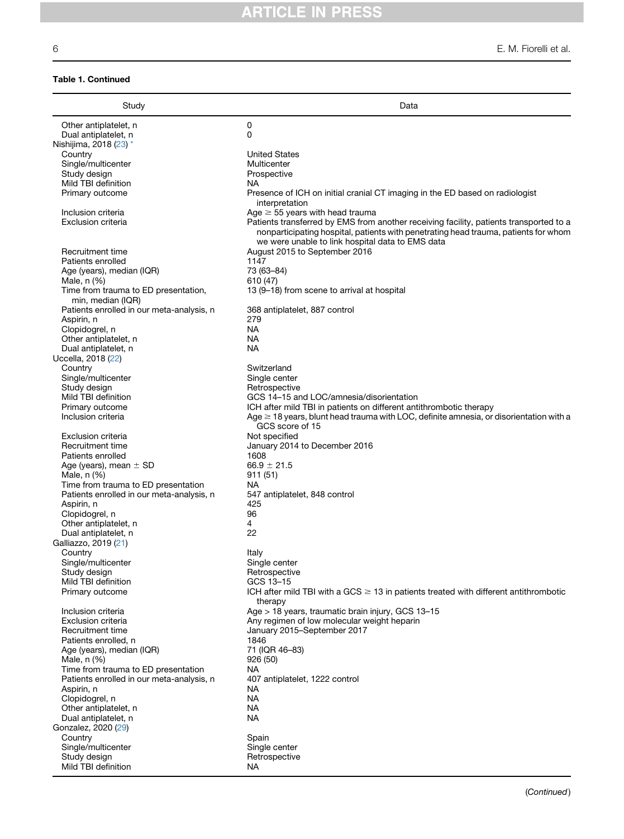6 E. M. Fiorelli et al.

## Table 1. Continued

| Study                                               | Data                                                                                                                                                                                                                                                                     |
|-----------------------------------------------------|--------------------------------------------------------------------------------------------------------------------------------------------------------------------------------------------------------------------------------------------------------------------------|
| Other antiplatelet, n                               | 0                                                                                                                                                                                                                                                                        |
| Dual antiplatelet, n                                | 0                                                                                                                                                                                                                                                                        |
| Nishijima, 2018 (23) *                              |                                                                                                                                                                                                                                                                          |
| Country                                             | <b>United States</b>                                                                                                                                                                                                                                                     |
| Single/multicenter                                  | Multicenter                                                                                                                                                                                                                                                              |
| Study design                                        | Prospective                                                                                                                                                                                                                                                              |
| Mild TBI definition                                 | NA.<br>Presence of ICH on initial cranial CT imaging in the ED based on radiologist                                                                                                                                                                                      |
| Primary outcome                                     | interpretation                                                                                                                                                                                                                                                           |
| Inclusion criteria<br><b>Exclusion criteria</b>     | Age $\ge$ 55 years with head trauma<br>Patients transferred by EMS from another receiving facility, patients transported to a<br>nonparticipating hospital, patients with penetrating head trauma, patients for whom<br>we were unable to link hospital data to EMS data |
| Recruitment time                                    | August 2015 to September 2016                                                                                                                                                                                                                                            |
| Patients enrolled                                   | 1147                                                                                                                                                                                                                                                                     |
| Age (years), median (IQR)                           | 73 (63-84)                                                                                                                                                                                                                                                               |
| Male, n (%)<br>Time from trauma to ED presentation, | 610 (47)<br>13 (9-18) from scene to arrival at hospital                                                                                                                                                                                                                  |
| min, median (IQR)                                   |                                                                                                                                                                                                                                                                          |
| Patients enrolled in our meta-analysis, n           | 368 antiplatelet, 887 control                                                                                                                                                                                                                                            |
| Aspirin, n                                          | 279                                                                                                                                                                                                                                                                      |
| Clopidogrel, n                                      | <b>NA</b>                                                                                                                                                                                                                                                                |
| Other antiplatelet, n                               | <b>NA</b><br><b>NA</b>                                                                                                                                                                                                                                                   |
| Dual antiplatelet, n<br>Uccella, 2018 (22)          |                                                                                                                                                                                                                                                                          |
| Country                                             | Switzerland                                                                                                                                                                                                                                                              |
| Single/multicenter                                  | Single center                                                                                                                                                                                                                                                            |
| Study design                                        | Retrospective                                                                                                                                                                                                                                                            |
| Mild TBI definition                                 | GCS 14-15 and LOC/amnesia/disorientation                                                                                                                                                                                                                                 |
| Primary outcome                                     | ICH after mild TBI in patients on different antithrombotic therapy                                                                                                                                                                                                       |
| Inclusion criteria                                  | Age ≥ 18 years, blunt head trauma with LOC, definite amnesia, or disorientation with a<br>GCS score of 15                                                                                                                                                                |
| Exclusion criteria                                  | Not specified                                                                                                                                                                                                                                                            |
| Recruitment time<br>Patients enrolled               | January 2014 to December 2016<br>1608                                                                                                                                                                                                                                    |
| Age (years), mean $\pm$ SD                          | $66.9 \pm 21.5$                                                                                                                                                                                                                                                          |
| Male, n (%)                                         | 911(51)                                                                                                                                                                                                                                                                  |
| Time from trauma to ED presentation                 | NA.                                                                                                                                                                                                                                                                      |
| Patients enrolled in our meta-analysis, n           | 547 antiplatelet, 848 control                                                                                                                                                                                                                                            |
| Aspirin, n                                          | 425                                                                                                                                                                                                                                                                      |
| Clopidogrel, n                                      | 96                                                                                                                                                                                                                                                                       |
| Other antiplatelet, n                               | 4                                                                                                                                                                                                                                                                        |
| Dual antiplatelet, n                                | 22                                                                                                                                                                                                                                                                       |
| Galliazzo, 2019 (21)<br>Country                     | Italy                                                                                                                                                                                                                                                                    |
| Single/multicenter                                  | Single center                                                                                                                                                                                                                                                            |
| Study design                                        | Retrospective                                                                                                                                                                                                                                                            |
| Mild TBI definition                                 | GCS 13-15                                                                                                                                                                                                                                                                |
| Primary outcome                                     | ICH after mild TBI with a GCS $\geq$ 13 in patients treated with different antithrombotic<br>therapy                                                                                                                                                                     |
| Inclusion criteria                                  | Age > 18 years, traumatic brain injury, GCS 13-15                                                                                                                                                                                                                        |
| Exclusion criteria                                  | Any regimen of low molecular weight heparin                                                                                                                                                                                                                              |
| Recruitment time                                    | January 2015–September 2017                                                                                                                                                                                                                                              |
| Patients enrolled, n                                | 1846                                                                                                                                                                                                                                                                     |
| Age (years), median (IQR)<br>Male, n (%)            | 71 (IQR 46-83)<br>926 (50)                                                                                                                                                                                                                                               |
| Time from trauma to ED presentation                 | NA.                                                                                                                                                                                                                                                                      |
| Patients enrolled in our meta-analysis, n           | 407 antiplatelet, 1222 control                                                                                                                                                                                                                                           |
| Aspirin, n                                          | NA.                                                                                                                                                                                                                                                                      |
| Clopidogrel, n                                      | NA                                                                                                                                                                                                                                                                       |
| Other antiplatelet, n                               | NA                                                                                                                                                                                                                                                                       |
| Dual antiplatelet, n                                | NA                                                                                                                                                                                                                                                                       |
| Gonzalez, 2020 (29)                                 |                                                                                                                                                                                                                                                                          |
| Country                                             | Spain                                                                                                                                                                                                                                                                    |
| Single/multicenter                                  | Single center                                                                                                                                                                                                                                                            |
| Study design<br>Mild TBI definition                 | Retrospective<br>NA.                                                                                                                                                                                                                                                     |
|                                                     |                                                                                                                                                                                                                                                                          |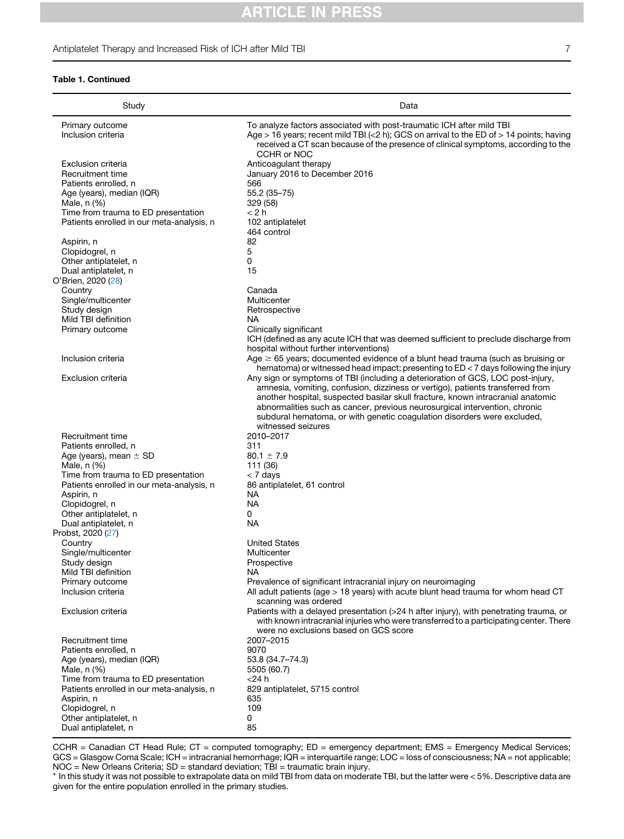#### Table 1. Continued

| Study                                              | Data                                                                                                                                                                                                                                                 |  |  |  |  |
|----------------------------------------------------|------------------------------------------------------------------------------------------------------------------------------------------------------------------------------------------------------------------------------------------------------|--|--|--|--|
| Primary outcome<br>Inclusion criteria              | To analyze factors associated with post-traumatic ICH after mild TBI<br>Age > 16 years; recent mild TBI (<2 h); GCS on arrival to the ED of > 14 points; having<br>received a CT scan because of the presence of clinical symptoms, according to the |  |  |  |  |
|                                                    | CCHR or NOC                                                                                                                                                                                                                                          |  |  |  |  |
| Exclusion criteria                                 | Anticoagulant therapy                                                                                                                                                                                                                                |  |  |  |  |
| Recruitment time                                   | January 2016 to December 2016                                                                                                                                                                                                                        |  |  |  |  |
| Patients enrolled, n                               | 566<br>55.2 (35-75)                                                                                                                                                                                                                                  |  |  |  |  |
| Age (years), median (IQR)<br>Male, n (%)           | 329 (58)                                                                                                                                                                                                                                             |  |  |  |  |
| Time from trauma to ED presentation                | < 2 h                                                                                                                                                                                                                                                |  |  |  |  |
| Patients enrolled in our meta-analysis, n          | 102 antiplatelet                                                                                                                                                                                                                                     |  |  |  |  |
|                                                    | 464 control                                                                                                                                                                                                                                          |  |  |  |  |
| Aspirin, n                                         | 82                                                                                                                                                                                                                                                   |  |  |  |  |
| Clopidogrel, n                                     | 5                                                                                                                                                                                                                                                    |  |  |  |  |
| Other antiplatelet, n                              | 0                                                                                                                                                                                                                                                    |  |  |  |  |
| Dual antiplatelet, n                               | 15                                                                                                                                                                                                                                                   |  |  |  |  |
| O'Brien, 2020 (28)                                 |                                                                                                                                                                                                                                                      |  |  |  |  |
| Country                                            | Canada                                                                                                                                                                                                                                               |  |  |  |  |
| Single/multicenter                                 | Multicenter                                                                                                                                                                                                                                          |  |  |  |  |
| Study design                                       | Retrospective                                                                                                                                                                                                                                        |  |  |  |  |
| Mild TBI definition                                | NA.<br>Clinically significant                                                                                                                                                                                                                        |  |  |  |  |
| Primary outcome                                    | ICH (defined as any acute ICH that was deemed sufficient to preclude discharge from                                                                                                                                                                  |  |  |  |  |
|                                                    | hospital without further interventions)                                                                                                                                                                                                              |  |  |  |  |
| Inclusion criteria                                 | Age $\geq$ 65 years; documented evidence of a blunt head trauma (such as bruising or                                                                                                                                                                 |  |  |  |  |
|                                                    | hematoma) or witnessed head impact; presenting to $ED < 7$ days following the injury                                                                                                                                                                 |  |  |  |  |
| <b>Exclusion criteria</b>                          | Any sign or symptoms of TBI (including a deterioration of GCS, LOC post-injury,                                                                                                                                                                      |  |  |  |  |
|                                                    | amnesia, vomiting, confusion, dizziness or vertigo), patients transferred from                                                                                                                                                                       |  |  |  |  |
|                                                    | another hospital, suspected basilar skull fracture, known intracranial anatomic                                                                                                                                                                      |  |  |  |  |
|                                                    | abnormalities such as cancer, previous neurosurgical intervention, chronic                                                                                                                                                                           |  |  |  |  |
|                                                    | subdural hematoma, or with genetic coagulation disorders were excluded,                                                                                                                                                                              |  |  |  |  |
|                                                    | witnessed seizures                                                                                                                                                                                                                                   |  |  |  |  |
| Recruitment time                                   | 2010-2017                                                                                                                                                                                                                                            |  |  |  |  |
| Patients enrolled, n<br>Age (years), mean $\pm$ SD | 311<br>$80.1 \pm 7.9$                                                                                                                                                                                                                                |  |  |  |  |
| Male, n (%)                                        | 111 (36)                                                                                                                                                                                                                                             |  |  |  |  |
| Time from trauma to ED presentation                | $< 7$ days                                                                                                                                                                                                                                           |  |  |  |  |
| Patients enrolled in our meta-analysis, n          | 86 antiplatelet, 61 control                                                                                                                                                                                                                          |  |  |  |  |
| Aspirin, n                                         | NA.                                                                                                                                                                                                                                                  |  |  |  |  |
| Clopidogrel, n                                     | NA                                                                                                                                                                                                                                                   |  |  |  |  |
| Other antiplatelet, n                              | 0                                                                                                                                                                                                                                                    |  |  |  |  |
| Dual antiplatelet, n                               | <b>NA</b>                                                                                                                                                                                                                                            |  |  |  |  |
| Probst, 2020 (27)                                  |                                                                                                                                                                                                                                                      |  |  |  |  |
| Country                                            | <b>United States</b>                                                                                                                                                                                                                                 |  |  |  |  |
| Single/multicenter                                 | Multicenter                                                                                                                                                                                                                                          |  |  |  |  |
| Study design<br>Mild TBI definition                | Prospective<br>NA.                                                                                                                                                                                                                                   |  |  |  |  |
| Primary outcome                                    | Prevalence of significant intracranial injury on neuroimaging                                                                                                                                                                                        |  |  |  |  |
| Inclusion criteria                                 | All adult patients (age > 18 years) with acute blunt head trauma for whom head CT                                                                                                                                                                    |  |  |  |  |
|                                                    | scanning was ordered                                                                                                                                                                                                                                 |  |  |  |  |
| Exclusion criteria                                 | Patients with a delayed presentation (>24 h after injury), with penetrating trauma, or                                                                                                                                                               |  |  |  |  |
|                                                    | with known intracranial injuries who were transferred to a participating center. There                                                                                                                                                               |  |  |  |  |
|                                                    | were no exclusions based on GCS score                                                                                                                                                                                                                |  |  |  |  |
| Recruitment time                                   | 2007-2015                                                                                                                                                                                                                                            |  |  |  |  |
| Patients enrolled, n                               | 9070                                                                                                                                                                                                                                                 |  |  |  |  |
| Age (years), median (IQR)                          | 53.8 (34.7-74.3)                                                                                                                                                                                                                                     |  |  |  |  |
| Male, n (%)                                        | 5505 (60.7)                                                                                                                                                                                                                                          |  |  |  |  |
| Time from trauma to ED presentation                | <24 h                                                                                                                                                                                                                                                |  |  |  |  |
| Patients enrolled in our meta-analysis, n          | 829 antiplatelet, 5715 control                                                                                                                                                                                                                       |  |  |  |  |
| Aspirin, n<br>Clopidogrel, n                       | 635<br>109                                                                                                                                                                                                                                           |  |  |  |  |
| Other antiplatelet, n                              | 0                                                                                                                                                                                                                                                    |  |  |  |  |
| Dual antiplatelet, n                               | 85                                                                                                                                                                                                                                                   |  |  |  |  |
|                                                    |                                                                                                                                                                                                                                                      |  |  |  |  |

CCHR = Canadian CT Head Rule; CT = computed tomography; ED = emergency department; EMS = Emergency Medical Services; GCS = Glasgow Coma Scale; ICH = intracranial hemorrhage; IQR = interquartile range; LOC = loss of consciousness; NA = not applicable; NOC = New Orleans Criteria; SD = standard deviation; TBI = traumatic brain injury.

\* In this study it was not possible to extrapolate data on mild TBI from data on moderate TBI, but the latter were < 5%. Descriptive data are given for the entire population enrolled in the primary studies.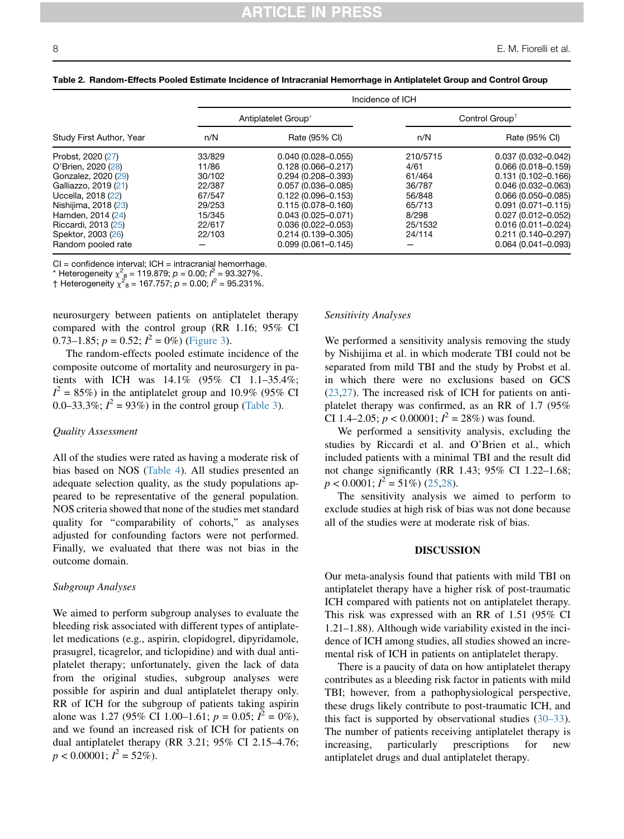|                          |        | Incidence of ICH       |                            |                        |  |  |  |
|--------------------------|--------|------------------------|----------------------------|------------------------|--|--|--|
|                          |        | Antiplatelet Group*    | Control Group <sup>T</sup> |                        |  |  |  |
| Study First Author, Year | n/N    | Rate (95% CI)          | n/N                        | Rate (95% CI)          |  |  |  |
| Probst, 2020 (27)        | 33/829 | $0.040(0.028 - 0.055)$ | 210/5715                   | $0.037(0.032 - 0.042)$ |  |  |  |
| O'Brien, 2020 (28)       | 11/86  | $0.128(0.066 - 0.217)$ | 4/61                       | $0.066(0.018 - 0.159)$ |  |  |  |
| Gonzalez, 2020 (29)      | 30/102 | $0.294(0.208 - 0.393)$ | 61/464                     | $0.131(0.102 - 0.166)$ |  |  |  |
| Galliazzo, 2019 (21)     | 22/387 | $0.057(0.036 - 0.085)$ | 36/787                     | $0.046(0.032 - 0.063)$ |  |  |  |
| Uccella, 2018 (22)       | 67/547 | $0.122(0.096 - 0.153)$ | 56/848                     | $0.066(0.050 - 0.085)$ |  |  |  |
| Nishijima, 2018 (23)     | 29/253 | $0.115(0.078 - 0.160)$ | 65/713                     | $0.091$ (0.071-0.115)  |  |  |  |
| Hamden, 2014 (24)        | 15/345 | $0.043(0.025 - 0.071)$ | 8/298                      | $0.027(0.012 - 0.052)$ |  |  |  |
| Riccardi, 2013 (25)      | 22/617 | $0.036(0.022 - 0.053)$ | 25/1532                    | $0.016(0.011 - 0.024)$ |  |  |  |
| Spektor, 2003 (26)       | 22/103 | $0.214(0.139 - 0.305)$ | 24/114                     | $0.211(0.140 - 0.297)$ |  |  |  |
| Random pooled rate       |        | $0.099(0.061 - 0.145)$ |                            | $0.064(0.041 - 0.093)$ |  |  |  |

<span id="page-7-0"></span>Table 2. Random-Effects Pooled Estimate Incidence of Intracranial Hemorrhage in Antiplatelet Group and Control Group

CI = confidence interval; ICH = intracranial hemorrhage.

\* Heterogeneity  $\chi^2_{.8}$  = 119.879; *p* = 0.00;  $I^2_{.8}$  = 93.327%.

† Heterogeneity  $\chi^2$ <sub>8</sub> = 167.757; *p* = 0.00;  $l^2$  = 95.231%.

neurosurgery between patients on antiplatelet therapy compared with the control group (RR 1.16; 95% CI 0.73–1.85;  $p = 0.52$ ;  $I^2 = 0\%$ ) ([Figure 3\)](#page-8-1).

The random-effects pooled estimate incidence of the composite outcome of mortality and neurosurgery in patients with ICH was 14.1% (95% CI 1.1–35.4%;  $I^2 = 85\%$ ) in the antiplatelet group and 10.9% (95% CI 0.0–33.3%;  $I^2 = 93\%$ ) in the control group ([Table 3\)](#page-9-0).

#### Quality Assessment

All of the studies were rated as having a moderate risk of bias based on NOS ([Table 4\)](#page-9-1). All studies presented an adequate selection quality, as the study populations appeared to be representative of the general population. NOS criteria showed that none of the studies met standard quality for ''comparability of cohorts,'' as analyses adjusted for confounding factors were not performed. Finally, we evaluated that there was not bias in the outcome domain.

#### Subgroup Analyses

We aimed to perform subgroup analyses to evaluate the bleeding risk associated with different types of antiplatelet medications (e.g., aspirin, clopidogrel, dipyridamole, prasugrel, ticagrelor, and ticlopidine) and with dual antiplatelet therapy; unfortunately, given the lack of data from the original studies, subgroup analyses were possible for aspirin and dual antiplatelet therapy only. RR of ICH for the subgroup of patients taking aspirin alone was 1.27 (95% CI 1.00–1.61;  $p = 0.05$ ;  $\overrightarrow{I}^2 = 0$ %), and we found an increased risk of ICH for patients on dual antiplatelet therapy (RR 3.21; 95% CI 2.15–4.76;  $p < 0.00001; I^2 = 52\%$ ).

#### Sensitivity Analyses

We performed a sensitivity analysis removing the study by Nishijima et al. in which moderate TBI could not be separated from mild TBI and the study by Probst et al. in which there were no exclusions based on GCS [\(23](#page-11-6),[27\)](#page-11-8). The increased risk of ICH for patients on antiplatelet therapy was confirmed, as an RR of 1.7 (95% CI 1.4–2.05;  $\vec{p}$  < 0.00001;  $\vec{l}$ <sup>2</sup> = 28%) was found.

We performed a sensitivity analysis, excluding the studies by Riccardi et al. and O'Brien et al., which included patients with a minimal TBI and the result did not change significantly (RR 1.43; 95% CI 1.22–1.68;  $p < 0.0001; I^2 = 51\%$  [\(25](#page-11-3),[28\)](#page-11-5).

The sensitivity analysis we aimed to perform to exclude studies at high risk of bias was not done because all of the studies were at moderate risk of bias.

#### DISCUSSION

Our meta-analysis found that patients with mild TBI on antiplatelet therapy have a higher risk of post-traumatic ICH compared with patients not on antiplatelet therapy. This risk was expressed with an RR of 1.51 (95% CI 1.21–1.88). Although wide variability existed in the incidence of ICH among studies, all studies showed an incremental risk of ICH in patients on antiplatelet therapy.

There is a paucity of data on how antiplatelet therapy contributes as a bleeding risk factor in patients with mild TBI; however, from a pathophysiological perspective, these drugs likely contribute to post-traumatic ICH, and this fact is supported by observational studies [\(30–33](#page-11-11)). The number of patients receiving antiplatelet therapy is increasing, particularly prescriptions for new antiplatelet drugs and dual antiplatelet therapy.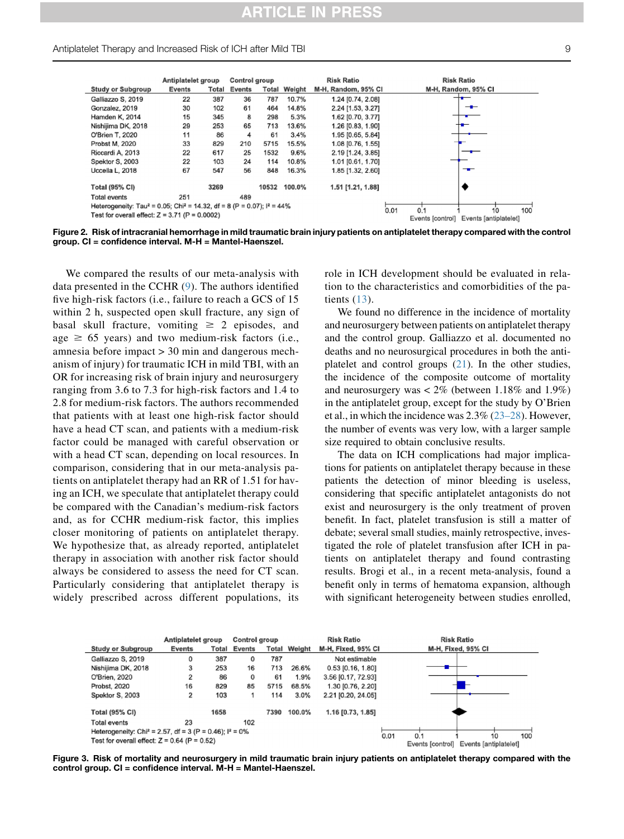#### <span id="page-8-0"></span>Antiplatelet Therapy and Increased Risk of ICH after Mild TBI 9 (1999) 2008 1999 1999 1999 1999 1999 1999 1999

|                                                                                                  | Antiplatelet group |       | <b>Risk Ratio</b><br>Control group |       |                                           | <b>Risk Ratio</b>        |                     |
|--------------------------------------------------------------------------------------------------|--------------------|-------|------------------------------------|-------|-------------------------------------------|--------------------------|---------------------|
| <b>Study or Subgroup</b>                                                                         | Events             | Total | <b>Events</b>                      | Total | Weight                                    | M-H, Random, 95% CI      | M-H, Random, 95% CI |
| Galliazzo S, 2019                                                                                | 22                 | 387   | 36                                 | 787   | 10.7%                                     | 1.24 [0.74, 2.08]        |                     |
| Gonzalez, 2019                                                                                   | 30                 | 102   | 61                                 | 464   | 14.8%                                     | 2.24 [1.53, 3.27]        | –∎–                 |
| Hamden K. 2014                                                                                   | 15                 | 345   | 8                                  | 298   | 5.3%                                      | 1.62 [0.70, 3.77]        |                     |
| Nishijima DK, 2018                                                                               | 29                 | 253   | 65                                 | 713   | 13.6%                                     | 1.26 [0.83, 1.90]        |                     |
| O'Brien T. 2020                                                                                  | 11                 | 86    | 4                                  | 61    | 3.4%                                      | 1.95 [0.65, 5.84]        |                     |
| Probst M, 2020                                                                                   | 33                 | 829   | 210                                | 5715  | 15.5%                                     | 1.08 [0.76, 1.55]        |                     |
| Riccardi A, 2013                                                                                 | 22                 | 617   | 25                                 | 1532  | 9.6%                                      | 2.19 [1.24, 3.85]        |                     |
| Spektor S, 2003                                                                                  | 22                 | 103   | 24                                 | 114   | 10.8%                                     | 1.01 [0.61, 1.70]        |                     |
| Uccella L. 2018                                                                                  | 67                 | 547   | 56                                 | 848   | 16.3%                                     | 1.85 [1.32, 2.60]        | --                  |
| <b>Total (95% CI)</b>                                                                            |                    | 3269  |                                    | 10532 | 100.0%                                    | 1.51 [1.21, 1.88]        |                     |
| Total events                                                                                     | 251                |       | 489                                |       |                                           |                          |                     |
| Heterogeneity: Tau <sup>2</sup> = 0.05; Chi <sup>2</sup> = 14.32, df = 8 (P = 0.07); $1^2$ = 44% |                    |       |                                    |       |                                           | 0.01<br>100<br>0.1<br>10 |                     |
| Test for overall effect: $Z = 3.71$ (P = 0.0002)                                                 |                    |       |                                    |       | Events lantiplatelet]<br>Events [control] |                          |                     |

Figure 2. Risk of intracranial hemorrhage in mild traumatic brain injury patients on antiplatelet therapy compared with the control group. CI = confidence interval. M-H = Mantel-Haenszel.

We compared the results of our meta-analysis with data presented in the CCHR ([9](#page-10-6)). The authors identified five high-risk factors (i.e., failure to reach a GCS of 15 within 2 h, suspected open skull fracture, any sign of basal skull fracture, vomiting  $\geq 2$  episodes, and age  $\geq 65$  years) and two medium-risk factors (i.e., amnesia before impact > 30 min and dangerous mechanism of injury) for traumatic ICH in mild TBI, with an OR for increasing risk of brain injury and neurosurgery ranging from 3.6 to 7.3 for high-risk factors and 1.4 to 2.8 for medium-risk factors. The authors recommended that patients with at least one high-risk factor should have a head CT scan, and patients with a medium-risk factor could be managed with careful observation or with a head CT scan, depending on local resources. In comparison, considering that in our meta-analysis patients on antiplatelet therapy had an RR of 1.51 for having an ICH, we speculate that antiplatelet therapy could be compared with the Canadian's medium-risk factors and, as for CCHR medium-risk factor, this implies closer monitoring of patients on antiplatelet therapy. We hypothesize that, as already reported, antiplatelet therapy in association with another risk factor should always be considered to assess the need for CT scan. Particularly considering that antiplatelet therapy is widely prescribed across different populations, its role in ICH development should be evaluated in relation to the characteristics and comorbidities of the patients ([13](#page-10-13)).

We found no difference in the incidence of mortality and neurosurgery between patients on antiplatelet therapy and the control group. Galliazzo et al. documented no deaths and no neurosurgical procedures in both the antiplatelet and control groups [\(21](#page-11-2)). In the other studies, the incidence of the composite outcome of mortality and neurosurgery was  $< 2\%$  (between 1.18% and 1.9%) in the antiplatelet group, except for the study by O'Brien et al., in which the incidence was 2.3% [\(23–28](#page-11-6)). However, the number of events was very low, with a larger sample size required to obtain conclusive results.

The data on ICH complications had major implications for patients on antiplatelet therapy because in these patients the detection of minor bleeding is useless, considering that specific antiplatelet antagonists do not exist and neurosurgery is the only treatment of proven benefit. In fact, platelet transfusion is still a matter of debate; several small studies, mainly retrospective, investigated the role of platelet transfusion after ICH in patients on antiplatelet therapy and found contrasting results. Brogi et al., in a recent meta-analysis, found a benefit only in terms of hematoma expansion, although with significant heterogeneity between studies enrolled,

<span id="page-8-1"></span>

Figure 3. Risk of mortality and neurosurgery in mild traumatic brain injury patients on antiplatelet therapy compared with the control group. CI = confidence interval. M-H = Mantel-Haenszel.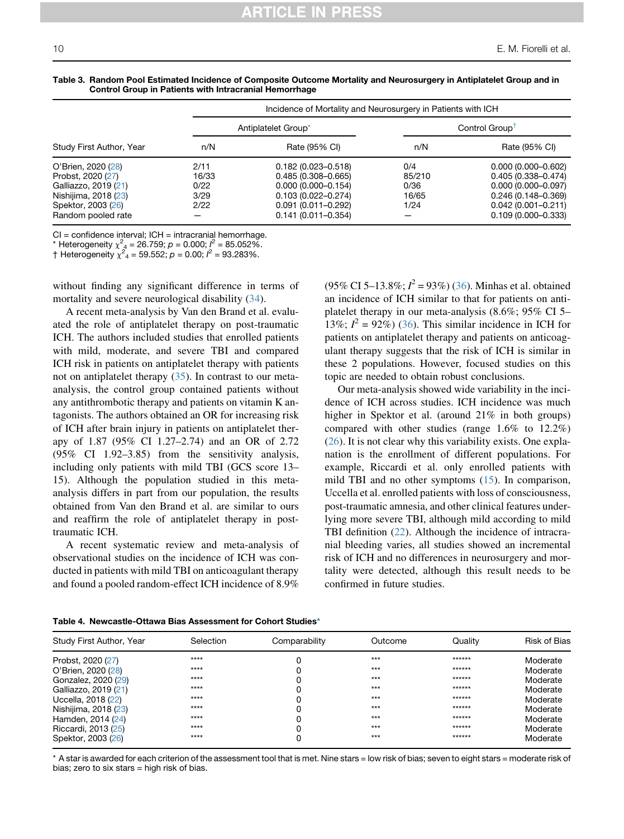| Study First Author, Year |       | Incidence of Mortality and Neurosurgery in Patients with ICH |                            |                        |  |  |  |
|--------------------------|-------|--------------------------------------------------------------|----------------------------|------------------------|--|--|--|
|                          |       | Antiplatelet Group*                                          | Control Group <sup>T</sup> |                        |  |  |  |
|                          | n/N   | Rate (95% CI)                                                | n/N                        | Rate (95% CI)          |  |  |  |
| O'Brien, 2020 (28)       | 2/11  | $0.182(0.023 - 0.518)$                                       | 0/4                        | $0.000(0.000 - 0.602)$ |  |  |  |
| Probst, 2020 (27)        | 16/33 | $0.485(0.308 - 0.665)$                                       | 85/210                     | $0.405(0.338 - 0.474)$ |  |  |  |
| Galliazzo, 2019 (21)     | 0/22  | $0.000(0.000 - 0.154)$                                       | 0/36                       | $0.000(0.000 - 0.097)$ |  |  |  |
| Nishijima, 2018 (23)     | 3/29  | $0.103(0.022 - 0.274)$                                       | 16/65                      | 0.246 (0.148-0.369)    |  |  |  |
| Spektor, 2003 (26)       | 2/22  | $0.091(0.011 - 0.292)$                                       | 1/24                       | $0.042(0.001 - 0.211)$ |  |  |  |
| Random pooled rate       |       | $0.141(0.011 - 0.354)$                                       |                            | $0.109(0.000 - 0.333)$ |  |  |  |

<span id="page-9-0"></span>Table 3. Random Pool Estimated Incidence of Composite Outcome Mortality and Neurosurgery in Antiplatelet Group and in Control Group in Patients with Intracranial Hemorrhage

CI = confidence interval; ICH = intracranial hemorrhage.

\* Heterogeneity  $\chi^2_{\rm A}$  = 26.759; *p* = 0.000;  $l^2$  = 85.052%.

† Heterogeneity  $\chi^2_4$  = 59.552; *p* = 0.00;  $l^2$  = 93.283%.

without finding any significant difference in terms of mortality and severe neurological disability [\(34](#page-11-12)).

A recent meta-analysis by Van den Brand et al. evaluated the role of antiplatelet therapy on post-traumatic ICH. The authors included studies that enrolled patients with mild, moderate, and severe TBI and compared ICH risk in patients on antiplatelet therapy with patients not on antiplatelet therapy  $(35)$  $(35)$  $(35)$ . In contrast to our metaanalysis, the control group contained patients without any antithrombotic therapy and patients on vitamin K antagonists. The authors obtained an OR for increasing risk of ICH after brain injury in patients on antiplatelet therapy of 1.87 (95% CI 1.27–2.74) and an OR of 2.72 (95% CI 1.92–3.85) from the sensitivity analysis, including only patients with mild TBI (GCS score 13– 15). Although the population studied in this metaanalysis differs in part from our population, the results obtained from Van den Brand et al. are similar to ours and reaffirm the role of antiplatelet therapy in posttraumatic ICH.

A recent systematic review and meta-analysis of observational studies on the incidence of ICH was conducted in patients with mild TBI on anticoagulant therapy and found a pooled random-effect ICH incidence of 8.9%

(95% CI 5–13.8%;  $I^2 = 93\%$ ) ([36\)](#page-11-14). Minhas et al. obtained an incidence of ICH similar to that for patients on antiplatelet therapy in our meta-analysis (8.6%; 95% CI 5– 13%;  $I^2 = 92\%$ ) [\(36](#page-11-14)). This similar incidence in ICH for patients on antiplatelet therapy and patients on anticoagulant therapy suggests that the risk of ICH is similar in these 2 populations. However, focused studies on this topic are needed to obtain robust conclusions.

Our meta-analysis showed wide variability in the incidence of ICH across studies. ICH incidence was much higher in Spektor et al. (around 21% in both groups) compared with other studies (range 1.6% to 12.2%) [\(26](#page-11-10)). It is not clear why this variability exists. One explanation is the enrollment of different populations. For example, Riccardi et al. only enrolled patients with mild TBI and no other symptoms [\(15](#page-10-14)). In comparison, Uccella et al. enrolled patients with loss of consciousness, post-traumatic amnesia, and other clinical features underlying more severe TBI, although mild according to mild TBI definition [\(22](#page-11-9)). Although the incidence of intracranial bleeding varies, all studies showed an incremental risk of ICH and no differences in neurosurgery and mortality were detected, although this result needs to be confirmed in future studies.

<span id="page-9-1"></span>Table 4. Newcastle-Ottawa Bias Assessment for Cohort Studies\*

| Study First Author, Year | Selection | Comparability | Outcome | Quality | <b>Risk of Bias</b> |
|--------------------------|-----------|---------------|---------|---------|---------------------|
| Probst, 2020 (27)        | $***$ **  |               | $***$   | ******  | Moderate            |
| O'Brien, 2020 (28)       | $***$ **  |               | $***$   | ******  | Moderate            |
| Gonzalez, 2020 (29)      | $***$ **  |               | $***$   | ******  | Moderate            |
| Galliazzo, 2019 (21)     | ****      |               | $***$   | ******  | Moderate            |
| Uccella, 2018 (22)       | $***$ **  |               | $***$   | ******  | Moderate            |
| Nishiima, 2018 (23)      | $***$ **  |               | $***$   | ******  | Moderate            |
| Hamden, 2014 (24)        | $***$ **  |               | $***$   | ******  | Moderate            |
| Riccardi, 2013 (25)      | $***$     |               | $***$   | ******  | Moderate            |
| Spektor, 2003 (26)       | $***$ **  | C             | $***$   | ******  | Moderate            |

\* A star is awarded for each criterion of the assessment tool that is met. Nine stars = low risk of bias; seven to eight stars = moderate risk of bias; zero to six stars = high risk of bias.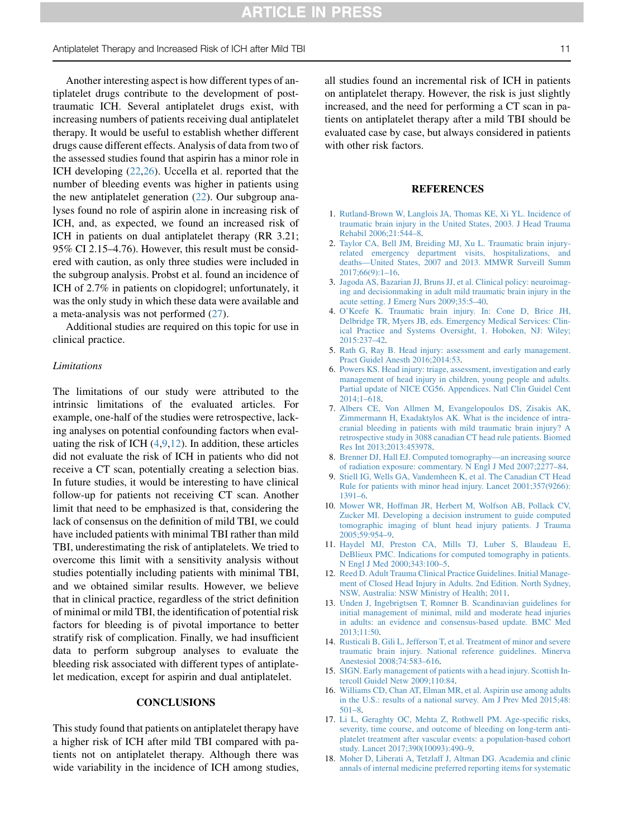Another interesting aspect is how different types of antiplatelet drugs contribute to the development of posttraumatic ICH. Several antiplatelet drugs exist, with increasing numbers of patients receiving dual antiplatelet therapy. It would be useful to establish whether different drugs cause different effects. Analysis of data from two of the assessed studies found that aspirin has a minor role in ICH developing ([22](#page-11-9)[,26](#page-11-10)). Uccella et al. reported that the number of bleeding events was higher in patients using the new antiplatelet generation ([22\)](#page-11-9). Our subgroup analyses found no role of aspirin alone in increasing risk of ICH, and, as expected, we found an increased risk of ICH in patients on dual antiplatelet therapy (RR 3.21; 95% CI 2.15–4.76). However, this result must be considered with caution, as only three studies were included in the subgroup analysis. Probst et al. found an incidence of ICH of 2.7% in patients on clopidogrel; unfortunately, it was the only study in which these data were available and a meta-analysis was not performed ([27\)](#page-11-8).

Additional studies are required on this topic for use in clinical practice.

#### Limitations

The limitations of our study were attributed to the intrinsic limitations of the evaluated articles. For example, one-half of the studies were retrospective, lacking analyses on potential confounding factors when evaluating the risk of ICH  $(4,9,12)$  $(4,9,12)$  $(4,9,12)$  $(4,9,12)$  $(4,9,12)$ . In addition, these articles did not evaluate the risk of ICH in patients who did not receive a CT scan, potentially creating a selection bias. In future studies, it would be interesting to have clinical follow-up for patients not receiving CT scan. Another limit that need to be emphasized is that, considering the lack of consensus on the definition of mild TBI, we could have included patients with minimal TBI rather than mild TBI, underestimating the risk of antiplatelets. We tried to overcome this limit with a sensitivity analysis without studies potentially including patients with minimal TBI, and we obtained similar results. However, we believe that in clinical practice, regardless of the strict definition of minimal or mild TBI, the identification of potential risk factors for bleeding is of pivotal importance to better stratify risk of complication. Finally, we had insufficient data to perform subgroup analyses to evaluate the bleeding risk associated with different types of antiplatelet medication, except for aspirin and dual antiplatelet.

## **CONCLUSIONS**

This study found that patients on antiplatelet therapy have a higher risk of ICH after mild TBI compared with patients not on antiplatelet therapy. Although there was wide variability in the incidence of ICH among studies, all studies found an incremental risk of ICH in patients on antiplatelet therapy. However, the risk is just slightly increased, and the need for performing a CT scan in patients on antiplatelet therapy after a mild TBI should be evaluated case by case, but always considered in patients with other risk factors.

#### REFERENCES

- <span id="page-10-1"></span><span id="page-10-0"></span>1. [Rutland-Brown W, Langlois JA, Thomas KE, Xi YL. Incidence of](http://refhub.elsevier.com/S0736-4679(20)30723-X/sref1) [traumatic brain injury in the United States, 2003. J Head Trauma](http://refhub.elsevier.com/S0736-4679(20)30723-X/sref1) [Rehabil 2006;21:544–8.](http://refhub.elsevier.com/S0736-4679(20)30723-X/sref1)
- 2. [Taylor CA, Bell JM, Breiding MJ, Xu L. Traumatic brain injury](http://refhub.elsevier.com/S0736-4679(20)30723-X/sref2)[related emergency department visits, hospitalizations, and](http://refhub.elsevier.com/S0736-4679(20)30723-X/sref2) [deaths—United States, 2007 and 2013. MMWR Surveill Summ](http://refhub.elsevier.com/S0736-4679(20)30723-X/sref2) [2017;66\(9\):1–16](http://refhub.elsevier.com/S0736-4679(20)30723-X/sref2).
- <span id="page-10-3"></span><span id="page-10-2"></span>3. [Jagoda AS, Bazarian JJ, Bruns JJ, et al. Clinical policy: neuroimag](http://refhub.elsevier.com/S0736-4679(20)30723-X/sref3)[ing and decisionmaking in adult mild traumatic brain injury in the](http://refhub.elsevier.com/S0736-4679(20)30723-X/sref3) [acute setting. J Emerg Nurs 2009;35:5–40.](http://refhub.elsevier.com/S0736-4679(20)30723-X/sref3)
- 4. [O'Keefe K. Traumatic brain injury. In: Cone D, Brice JH,](http://refhub.elsevier.com/S0736-4679(20)30723-X/sref4) [Delbridge TR, Myers JB, eds. Emergency Medical Services: Clin](http://refhub.elsevier.com/S0736-4679(20)30723-X/sref4)[ical Practice and Systems Oversight, 1. Hoboken, NJ: Wiley;](http://refhub.elsevier.com/S0736-4679(20)30723-X/sref4) [2015:237–42.](http://refhub.elsevier.com/S0736-4679(20)30723-X/sref4)
- <span id="page-10-8"></span><span id="page-10-4"></span>5. [Rath G, Ray B. Head injury: assessment and early management.](http://refhub.elsevier.com/S0736-4679(20)30723-X/sref5) [Pract Guidel Anesth 2016;2014:53](http://refhub.elsevier.com/S0736-4679(20)30723-X/sref5).
- 6. [Powers KS. Head injury: triage, assessment, investigation and early](http://refhub.elsevier.com/S0736-4679(20)30723-X/sref6) [management of head injury in children, young people and adults.](http://refhub.elsevier.com/S0736-4679(20)30723-X/sref6) [Partial update of NICE CG56. Appendices. Natl Clin Guidel Cent](http://refhub.elsevier.com/S0736-4679(20)30723-X/sref6) [2014;1–618.](http://refhub.elsevier.com/S0736-4679(20)30723-X/sref6)
- 7. [Albers CE, Von Allmen M, Evangelopoulos DS, Zisakis AK,](http://refhub.elsevier.com/S0736-4679(20)30723-X/sref7) [Zimmermann H, Exadaktylos AK. What is the incidence of intra](http://refhub.elsevier.com/S0736-4679(20)30723-X/sref7)[cranial bleeding in patients with mild traumatic brain injury? A](http://refhub.elsevier.com/S0736-4679(20)30723-X/sref7) [retrospective study in 3088 canadian CT head rule patients. Biomed](http://refhub.elsevier.com/S0736-4679(20)30723-X/sref7) [Res Int 2013;2013:453978](http://refhub.elsevier.com/S0736-4679(20)30723-X/sref7).
- <span id="page-10-6"></span><span id="page-10-5"></span>8. [Brenner DJ, Hall EJ. Computed tomography—an increasing source](http://refhub.elsevier.com/S0736-4679(20)30723-X/sref8) [of radiation exposure: commentary. N Engl J Med 2007;2277–84](http://refhub.elsevier.com/S0736-4679(20)30723-X/sref8).
- <span id="page-10-7"></span>9. [Stiell IG, Wells GA, Vandemheen K, et al. The Canadian CT Head](http://refhub.elsevier.com/S0736-4679(20)30723-X/sref9) [Rule for patients with minor head injury. Lancet 2001;357\(9266\):](http://refhub.elsevier.com/S0736-4679(20)30723-X/sref9) [1391–6](http://refhub.elsevier.com/S0736-4679(20)30723-X/sref9).
- 10. [Mower WR, Hoffman JR, Herbert M, Wolfson AB, Pollack CV,](http://refhub.elsevier.com/S0736-4679(20)30723-X/sref10) [Zucker MI. Developing a decision instrument to guide computed](http://refhub.elsevier.com/S0736-4679(20)30723-X/sref10) [tomographic imaging of blunt head injury patients. J Trauma](http://refhub.elsevier.com/S0736-4679(20)30723-X/sref10) [2005;59:954–9.](http://refhub.elsevier.com/S0736-4679(20)30723-X/sref10)
- <span id="page-10-9"></span>11. [Haydel MJ, Preston CA, Mills TJ, Luber S, Blaudeau E,](http://refhub.elsevier.com/S0736-4679(20)30723-X/sref11) [DeBlieux PMC. Indications for computed tomography in patients.](http://refhub.elsevier.com/S0736-4679(20)30723-X/sref11) [N Engl J Med 2000;343:100–5](http://refhub.elsevier.com/S0736-4679(20)30723-X/sref11).
- <span id="page-10-13"></span>12. [Reed D. Adult Trauma Clinical Practice Guidelines. Initial Manage](http://refhub.elsevier.com/S0736-4679(20)30723-X/sref12)[ment of Closed Head Injury in Adults. 2nd Edition. North Sydney,](http://refhub.elsevier.com/S0736-4679(20)30723-X/sref12) [NSW, Australia: NSW Ministry of Health; 2011.](http://refhub.elsevier.com/S0736-4679(20)30723-X/sref12)
- 13. [Unden J, Ingebrigtsen T, Romner B. Scandinavian guidelines for](http://refhub.elsevier.com/S0736-4679(20)30723-X/sref13) [initial management of minimal, mild and moderate head injuries](http://refhub.elsevier.com/S0736-4679(20)30723-X/sref13) [in adults: an evidence and consensus-based update. BMC Med](http://refhub.elsevier.com/S0736-4679(20)30723-X/sref13) [2013;11:50.](http://refhub.elsevier.com/S0736-4679(20)30723-X/sref13)
- <span id="page-10-14"></span>14. [Rusticali B, Gili L, Jefferson T, et al. Treatment of minor and severe](http://refhub.elsevier.com/S0736-4679(20)30723-X/sref14) [traumatic brain injury. National reference guidelines. Minerva](http://refhub.elsevier.com/S0736-4679(20)30723-X/sref14) [Anestesiol 2008;74:583–616.](http://refhub.elsevier.com/S0736-4679(20)30723-X/sref14)
- <span id="page-10-10"></span>15. [SIGN. Early management of patients with a head injury. Scottish In](http://refhub.elsevier.com/S0736-4679(20)30723-X/sref15)[tercoll Guidel Netw 2009;110:84.](http://refhub.elsevier.com/S0736-4679(20)30723-X/sref15)
- <span id="page-10-11"></span>16. [Williams CD, Chan AT, Elman MR, et al. Aspirin use among adults](http://refhub.elsevier.com/S0736-4679(20)30723-X/sref16) [in the U.S.: results of a national survey. Am J Prev Med 2015;48:](http://refhub.elsevier.com/S0736-4679(20)30723-X/sref16) [501–8.](http://refhub.elsevier.com/S0736-4679(20)30723-X/sref16)
- 17. [Li L, Geraghty OC, Mehta Z, Rothwell PM. Age-specific risks,](http://refhub.elsevier.com/S0736-4679(20)30723-X/sref17) [severity, time course, and outcome of bleeding on long-term anti](http://refhub.elsevier.com/S0736-4679(20)30723-X/sref17)[platelet treatment after vascular events: a population-based cohort](http://refhub.elsevier.com/S0736-4679(20)30723-X/sref17) [study. Lancet 2017;390\(10093\):490–9.](http://refhub.elsevier.com/S0736-4679(20)30723-X/sref17)
- <span id="page-10-12"></span>18. [Moher D, Liberati A, Tetzlaff J, Altman DG. Academia and clinic](http://refhub.elsevier.com/S0736-4679(20)30723-X/sref18) [annals of internal medicine preferred reporting items for systematic](http://refhub.elsevier.com/S0736-4679(20)30723-X/sref18)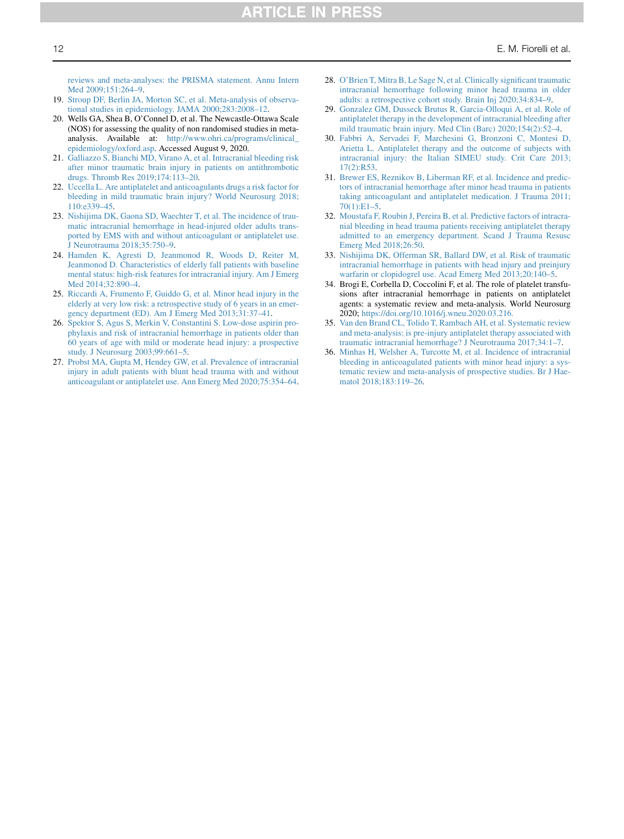[reviews and meta-analyses: the PRISMA statement. Annu Intern](http://refhub.elsevier.com/S0736-4679(20)30723-X/sref18) [Med 2009;151:264–9.](http://refhub.elsevier.com/S0736-4679(20)30723-X/sref18)

- <span id="page-11-0"></span>19. [Stroup DF, Berlin JA, Morton SC, et al. Meta-analysis of observa](http://refhub.elsevier.com/S0736-4679(20)30723-X/sref19)[tional studies in epidemiology. JAMA 2000;283:2008–12.](http://refhub.elsevier.com/S0736-4679(20)30723-X/sref19)
- <span id="page-11-1"></span>20. Wells GA, Shea B, O'Connel D, et al. The Newcastle-Ottawa Scale (NOS) for assessing the quality of non randomised studies in metaanalysis. Available at: [http://www.ohri.ca/programs/clinical\\_](http://www.ohri.ca/programs/clinical_epidemiology/oxford.asp) [epidemiology/oxford.asp.](http://www.ohri.ca/programs/clinical_epidemiology/oxford.asp) Accessed August 9, 2020.
- <span id="page-11-2"></span>21. [Galliazzo S, Bianchi MD, Virano A, et al. Intracranial bleeding risk](http://refhub.elsevier.com/S0736-4679(20)30723-X/sref21) [after minor traumatic brain injury in patients on antithrombotic](http://refhub.elsevier.com/S0736-4679(20)30723-X/sref21) [drugs. Thromb Res 2019;174:113–20.](http://refhub.elsevier.com/S0736-4679(20)30723-X/sref21)
- <span id="page-11-9"></span>22. [Uccella L. Are antiplatelet and anticoagulants drugs a risk factor for](http://refhub.elsevier.com/S0736-4679(20)30723-X/sref22) [bleeding in mild traumatic brain injury? World Neurosurg 2018;](http://refhub.elsevier.com/S0736-4679(20)30723-X/sref22) [110:e339–45](http://refhub.elsevier.com/S0736-4679(20)30723-X/sref22).
- <span id="page-11-6"></span>23. [Nishijima DK, Gaona SD, Waechter T, et al. The incidence of trau](http://refhub.elsevier.com/S0736-4679(20)30723-X/sref23)[matic intracranial hemorrhage in head-injured older adults trans](http://refhub.elsevier.com/S0736-4679(20)30723-X/sref23)[ported by EMS with and without anticoagulant or antiplatelet use.](http://refhub.elsevier.com/S0736-4679(20)30723-X/sref23) [J Neurotrauma 2018;35:750–9](http://refhub.elsevier.com/S0736-4679(20)30723-X/sref23).
- <span id="page-11-7"></span>24. [Hamden K, Agresti D, Jeanmonod R, Woods D, Reiter M,](http://refhub.elsevier.com/S0736-4679(20)30723-X/sref24) [Jeanmonod D. Characteristics of elderly fall patients with baseline](http://refhub.elsevier.com/S0736-4679(20)30723-X/sref24) [mental status: high-risk features for intracranial injury. Am J Emerg](http://refhub.elsevier.com/S0736-4679(20)30723-X/sref24) [Med 2014;32:890–4.](http://refhub.elsevier.com/S0736-4679(20)30723-X/sref24)
- <span id="page-11-3"></span>25. [Riccardi A, Frumento F, Guiddo G, et al. Minor head injury in the](http://refhub.elsevier.com/S0736-4679(20)30723-X/sref25) [elderly at very low risk: a retrospective study of 6 years in an emer](http://refhub.elsevier.com/S0736-4679(20)30723-X/sref25)[gency department \(ED\). Am J Emerg Med 2013;31:37–41.](http://refhub.elsevier.com/S0736-4679(20)30723-X/sref25)
- <span id="page-11-10"></span>26. [Spektor S, Agus S, Merkin V, Constantini S. Low-dose aspirin pro](http://refhub.elsevier.com/S0736-4679(20)30723-X/sref26)[phylaxis and risk of intracranial hemorrhage in patients older than](http://refhub.elsevier.com/S0736-4679(20)30723-X/sref26) [60 years of age with mild or moderate head injury: a prospective](http://refhub.elsevier.com/S0736-4679(20)30723-X/sref26) [study. J Neurosurg 2003;99:661–5.](http://refhub.elsevier.com/S0736-4679(20)30723-X/sref26)
- <span id="page-11-8"></span>27. [Probst MA, Gupta M, Hendey GW, et al. Prevalence of intracranial](http://refhub.elsevier.com/S0736-4679(20)30723-X/sref27) [injury in adult patients with blunt head trauma with and without](http://refhub.elsevier.com/S0736-4679(20)30723-X/sref27) [anticoagulant or antiplatelet use. Ann Emerg Med 2020;75:354–64](http://refhub.elsevier.com/S0736-4679(20)30723-X/sref27).
- <span id="page-11-5"></span>28. [O'Brien T, Mitra B, Le Sage N, et al. Clinically significant traumatic](http://refhub.elsevier.com/S0736-4679(20)30723-X/sref28) [intracranial hemorrhage following minor head trauma in older](http://refhub.elsevier.com/S0736-4679(20)30723-X/sref28) [adults: a retrospective cohort study. Brain Inj 2020;34:834–9.](http://refhub.elsevier.com/S0736-4679(20)30723-X/sref28)
- <span id="page-11-4"></span>29. [Gonzalez GM, Dusseck Brutus R, Garcia-Olloqui A, et al. Role of](http://refhub.elsevier.com/S0736-4679(20)30723-X/sref29) [antiplatelet therapy in the development of intracranial bleeding after](http://refhub.elsevier.com/S0736-4679(20)30723-X/sref29) [mild traumatic brain injury. Med Clin \(Barc\) 2020;154\(2\):52–4](http://refhub.elsevier.com/S0736-4679(20)30723-X/sref29).
- <span id="page-11-11"></span>30. [Fabbri A, Servadei F, Marchesini G, Bronzoni C, Montesi D,](http://refhub.elsevier.com/S0736-4679(20)30723-X/sref30) [Arietta L. Antiplatelet therapy and the outcome of subjects with](http://refhub.elsevier.com/S0736-4679(20)30723-X/sref30) [intracranial injury: the Italian SIMEU study. Crit Care 2013;](http://refhub.elsevier.com/S0736-4679(20)30723-X/sref30) [17\(2\):R53](http://refhub.elsevier.com/S0736-4679(20)30723-X/sref30).
- 31. [Brewer ES, Reznikov B, Liberman RF, et al. Incidence and predic](http://refhub.elsevier.com/S0736-4679(20)30723-X/sref31)[tors of intracranial hemorrhage after minor head trauma in patients](http://refhub.elsevier.com/S0736-4679(20)30723-X/sref31) [taking anticoagulant and antiplatelet medication. J Trauma 2011;](http://refhub.elsevier.com/S0736-4679(20)30723-X/sref31) [70\(1\):E1–5.](http://refhub.elsevier.com/S0736-4679(20)30723-X/sref31)
- 32. [Moustafa F, Roubin J, Pereira B, et al. Predictive factors of intracra](http://refhub.elsevier.com/S0736-4679(20)30723-X/sref32)[nial bleeding in head trauma patients receiving antiplatelet therapy](http://refhub.elsevier.com/S0736-4679(20)30723-X/sref32) [admitted to an emergency department. Scand J Trauma Resusc](http://refhub.elsevier.com/S0736-4679(20)30723-X/sref32) [Emerg Med 2018;26:50](http://refhub.elsevier.com/S0736-4679(20)30723-X/sref32).
- 33. [Nishijima DK, Offerman SR, Ballard DW, et al. Risk of traumatic](http://refhub.elsevier.com/S0736-4679(20)30723-X/sref33) [intracranial hemorrhage in patients with head injury and preinjury](http://refhub.elsevier.com/S0736-4679(20)30723-X/sref33) [warfarin or clopidogrel use. Acad Emerg Med 2013;20:140–5.](http://refhub.elsevier.com/S0736-4679(20)30723-X/sref33)
- <span id="page-11-12"></span>34. Brogi E, Corbella D, Coccolini F, et al. The role of platelet transfusions after intracranial hemorrhage in patients on antiplatelet agents: a systematic review and meta-analysis. World Neurosurg 2020; [https://doi.org/10.1016/j.wneu.2020.03.216.](https://doi.org/10.1016/j.wneu.2020.03.216)
- <span id="page-11-13"></span>35. [Van den Brand CL, Tolido T, Rambach AH, et al. Systematic review](http://refhub.elsevier.com/S0736-4679(20)30723-X/sref35) [and meta-analysis: is pre-injury antiplatelet therapy associated with](http://refhub.elsevier.com/S0736-4679(20)30723-X/sref35) [traumatic intracranial hemorrhage? J Neurotrauma 2017;34:1–7](http://refhub.elsevier.com/S0736-4679(20)30723-X/sref35).
- <span id="page-11-14"></span>36. [Minhas H, Welsher A, Turcotte M, et al. Incidence of intracranial](http://refhub.elsevier.com/S0736-4679(20)30723-X/sref36) [bleeding in anticoagulated patients with minor head injury: a sys](http://refhub.elsevier.com/S0736-4679(20)30723-X/sref36)[tematic review and meta-analysis of prospective studies. Br J Hae](http://refhub.elsevier.com/S0736-4679(20)30723-X/sref36)[matol 2018;183:119–26](http://refhub.elsevier.com/S0736-4679(20)30723-X/sref36).